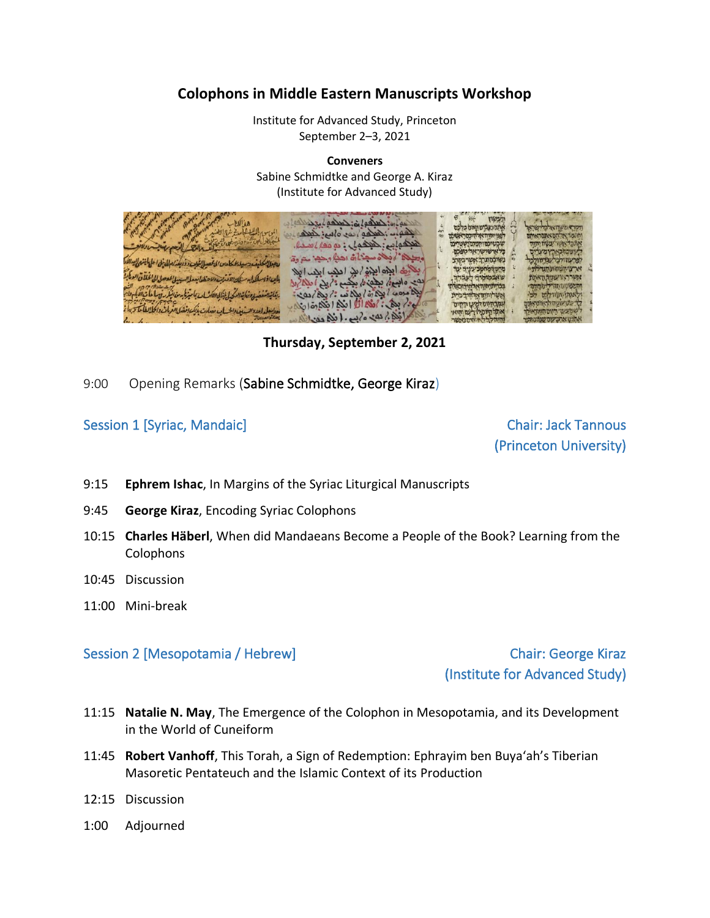## **Colophons in Middle Eastern Manuscripts Workshop**

Institute for Advanced Study, Princeton September 2–3, 2021

**Conveners** Sabine Schmidtke and George A. Kiraz (Institute for Advanced Study)



**Thursday, September 2, 2021**

9:00 Opening Remarks (Sabine Schmidtke, George Kiraz)

Session 1 [Syriac, Mandaic] Chair: Jack Tannous

(Princeton University)

- 9:15 **Ephrem Ishac**, In Margins of the Syriac Liturgical Manuscripts
- 9:45 **George Kiraz**, Encoding Syriac Colophons
- 10:15 **Charles Häberl**, When did Mandaeans Become a People of the Book? Learning from the Colophons
- 10:45 Discussion
- 11:00 Mini-break

### Session 2 [Mesopotamia / Hebrew] Chair: George Kiraz

(Institute for Advanced Study)

- 11:15 **Natalie N. May**, The Emergence of the Colophon in Mesopotamia, and its Development in the World of Cuneiform
- 11:45 **Robert Vanhoff**, This Torah, a Sign of Redemption: Ephrayim ben Buya'ah's Tiberian Masoretic Pentateuch and the Islamic Context of its Production
- 12:15 Discussion
- 1:00 Adjourned